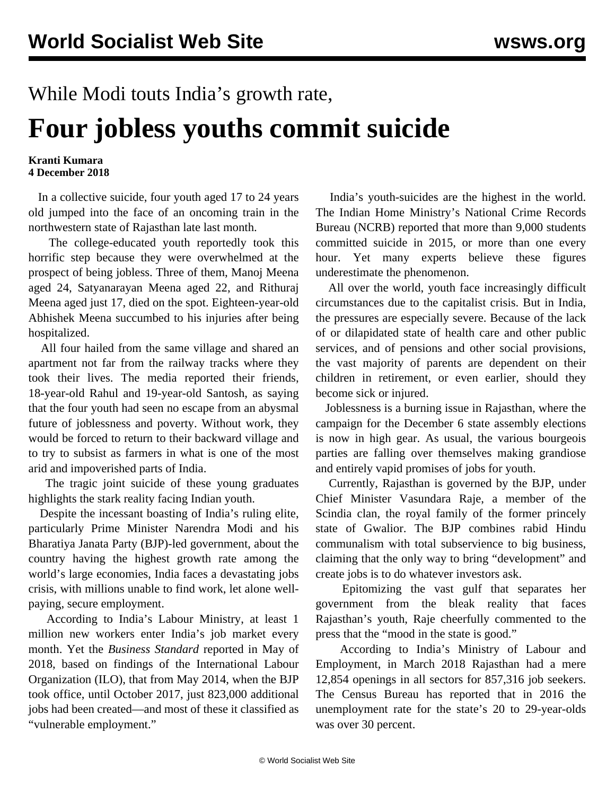## While Modi touts India's growth rate, **Four jobless youths commit suicide**

## **Kranti Kumara 4 December 2018**

 In a collective suicide, four youth aged 17 to 24 years old jumped into the face of an oncoming train in the northwestern state of Rajasthan late last month.

 The college-educated youth reportedly took this horrific step because they were overwhelmed at the prospect of being jobless. Three of them, Manoj Meena aged 24, Satyanarayan Meena aged 22, and Rithuraj Meena aged just 17, died on the spot. Eighteen-year-old Abhishek Meena succumbed to his injuries after being hospitalized.

 All four hailed from the same village and shared an apartment not far from the railway tracks where they took their lives. The media reported their friends, 18-year-old Rahul and 19-year-old Santosh, as saying that the four youth had seen no escape from an abysmal future of joblessness and poverty. Without work, they would be forced to return to their backward village and to try to subsist as farmers in what is one of the most arid and impoverished parts of India.

 The tragic joint suicide of these young graduates highlights the stark reality facing Indian youth.

 Despite the incessant boasting of India's ruling elite, particularly Prime Minister Narendra Modi and his Bharatiya Janata Party (BJP)-led government, about the country having the highest growth rate among the world's large economies, India faces a devastating jobs crisis, with millions unable to find work, let alone wellpaying, secure employment.

 According to India's Labour Ministry, at least 1 million new workers enter India's job market every month. Yet the *Business Standard* reported in May of 2018, based on findings of the International Labour Organization (ILO), that from May 2014, when the BJP took office, until October 2017, just 823,000 additional jobs had been created—and most of these it classified as "vulnerable employment."

 India's youth-suicides are the highest in the world. The Indian Home Ministry's National Crime Records Bureau (NCRB) reported that more than 9,000 students committed suicide in 2015, or more than one every hour. Yet many experts believe these figures underestimate the phenomenon.

 All over the world, youth face increasingly difficult circumstances due to the capitalist crisis. But in India, the pressures are especially severe. Because of the lack of or dilapidated state of health care and other public services, and of pensions and other social provisions, the vast majority of parents are dependent on their children in retirement, or even earlier, should they become sick or injured.

 Joblessness is a burning issue in Rajasthan, where the campaign for the December 6 state assembly elections is now in high gear. As usual, the various bourgeois parties are falling over themselves making grandiose and entirely vapid promises of jobs for youth.

 Currently, Rajasthan is governed by the BJP, under Chief Minister Vasundara Raje, a member of the Scindia clan, the royal family of the former princely state of Gwalior. The BJP combines rabid Hindu communalism with total subservience to big business, claiming that the only way to bring "development" and create jobs is to do whatever investors ask.

 Epitomizing the vast gulf that separates her government from the bleak reality that faces Rajasthan's youth, Raje cheerfully commented to the press that the "mood in the state is good."

 According to India's Ministry of Labour and Employment, in March 2018 Rajasthan had a mere 12,854 openings in all sectors for 857,316 job seekers. The Census Bureau has reported that in 2016 the unemployment rate for the state's 20 to 29-year-olds was over 30 percent.